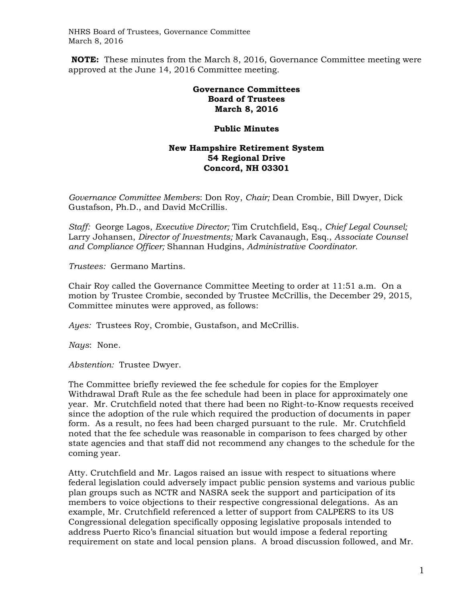NHRS Board of Trustees, Governance Committee March 8, 2016

 **NOTE:** These minutes from the March 8, 2016, Governance Committee meeting were approved at the June 14, 2016 Committee meeting.

## **Governance Committees Board of Trustees March 8, 2016**

## **Public Minutes**

## **New Hampshire Retirement System 54 Regional Drive Concord, NH 03301**

*Governance Committee Members*: Don Roy, *Chair;* Dean Crombie, Bill Dwyer, Dick Gustafson, Ph.D., and David McCrillis.

*Staff:* George Lagos, *Executive Director;* Tim Crutchfield, Esq., *Chief Legal Counsel;*  Larry Johansen, *Director of Investments;* Mark Cavanaugh, Esq., *Associate Counsel and Compliance Officer;* Shannan Hudgins, *Administrative Coordinator.* 

*Trustees:* Germano Martins.

Chair Roy called the Governance Committee Meeting to order at 11:51 a.m. On a motion by Trustee Crombie, seconded by Trustee McCrillis, the December 29, 2015, Committee minutes were approved, as follows:

*Ayes:* Trustees Roy, Crombie, Gustafson, and McCrillis.

*Nays*: None.

*Abstention:* Trustee Dwyer.

The Committee briefly reviewed the fee schedule for copies for the Employer Withdrawal Draft Rule as the fee schedule had been in place for approximately one year. Mr. Crutchfield noted that there had been no Right-to-Know requests received since the adoption of the rule which required the production of documents in paper form. As a result, no fees had been charged pursuant to the rule. Mr. Crutchfield noted that the fee schedule was reasonable in comparison to fees charged by other state agencies and that staff did not recommend any changes to the schedule for the coming year.

Atty. Crutchfield and Mr. Lagos raised an issue with respect to situations where federal legislation could adversely impact public pension systems and various public plan groups such as NCTR and NASRA seek the support and participation of its members to voice objections to their respective congressional delegations. As an example, Mr. Crutchfield referenced a letter of support from CALPERS to its US Congressional delegation specifically opposing legislative proposals intended to address Puerto Rico's financial situation but would impose a federal reporting requirement on state and local pension plans. A broad discussion followed, and Mr.